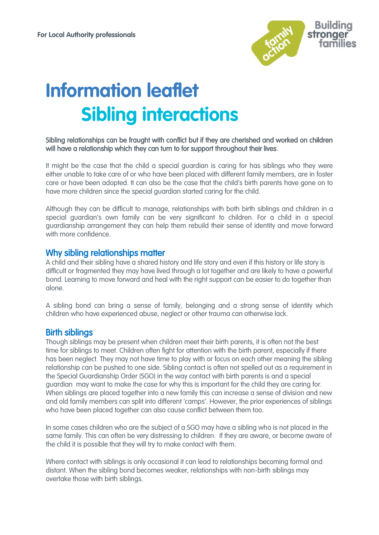

# **Information leaflet Sibling interactions**

#### Sibling relationships can be fraught with conflict but if they are cherished and worked on children will have a relationship which they can turn to for support throughout their lives.

It might be the case that the child a special guardian is caring for has siblings who they were either unable to take care of or who have been placed with different family members, are in foster care or have been adopted. It can also be the case that the child's birth parents have gone on to have more children since the special guardian started caring for the child.

Although they can be difficult to manage, relationships with both birth siblings and children in a special guardian's own family can be very significant to children. For a child in a special guardianship arrangement they can help them rebuild their sense of [identity](http://www.specialguardiansupport.org.uk/understanding-childs-situation-talking/) and move forward with more confidence.

#### Why sibling relationships matter

A child and their sibling have a shared history and life story and even if this history or life story is difficult or fragmented they may have lived through a lot together and are likely to have a powerful bond. Learning to move forward and heal with the right support can be easier to do together than alone.

A sibling bond can bring a sense of family, belonging and a strong sense of identity which children who have experienced abuse, neglect or other trauma can otherwise lack.

#### Birth siblings

Though siblings may be present when children meet their birth parents, it is often not the best time for siblings to meet. Children often fight for attention with the birth parent, especially if there has been neglect. They may not have time to play with or focus on each other meaning the sibling relationship can be pushed to one side. Sibling contact is often not spelled out as a requirement in the Special Guardianship Order (SGO) in the way contact with birth parents is and a special guardian may want to make the case for why this is important for the child they are caring for. When siblings are placed together into a new family this can increase a sense of division and new and old family members can split into different 'camps'. However, the prior experiences of siblings who have been placed together can also cause conflict between them too.

In some cases children who are the subject of a SGO may have a sibling who is not placed in the same family. This can often be very distressing to children. If they are aware, or become aware of the child it is possible that they will try to make contact with them.

Where contact with siblings is only occasional it can lead to relationships becoming formal and distant. When the sibling bond becomes weaker, relationships with non-birth siblings may overtake those with birth siblings.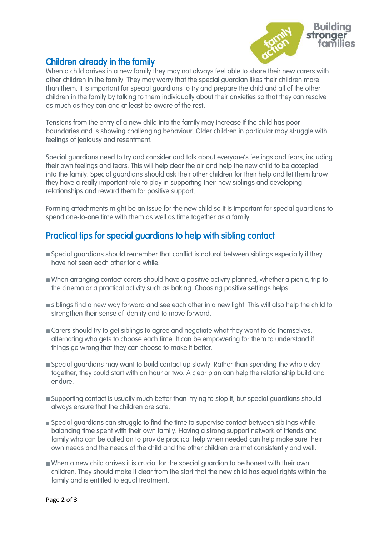

## Children already in the family

When a child arrives in a new family they may not always feel able to share their new carers with other children in the family. They may worry that the special guardian likes their children more than them. It is important for special guardians to try and prepare the child and all of the other children in the family by talking to them individually about their anxieties so that they can resolve as much as they can and at least be aware of the rest.

Tensions from the entry of a new child into the family may increase if the child has poor boundaries and is showing [challenging behaviour.](http://www.specialguardiansupport.org.uk/managing-challenging-behaviour/) Older children in particular may struggle with feelings of jealousy and resentment.

Special guardians need to try and consider and talk about everyone's feelings and fears, including their own feelings and fears. This will help clear the air and help the new child to be accepted into the family. Special guardians should ask their other children for their help and let them know they have a really important role to play in supporting their new siblings and developing relationships and reward them for positive support.

Forming [attachments](http://www.specialguardiansupport.org.uk/managing-attachment-issues/) might be an issue for the new child so it is important for special guardians to spend one-to-one time with them as well as time together as a family.

# Practical tips for special guardians to help with sibling contact

- Special guardians should remember that conflict is natural between siblings especially if they have not seen each other for a while.
- When arranging contact carers should have a positive activity planned, whether a picnic, trip to the cinema or a practical activity such as baking. Choosing positive settings helps
- **siblings find a new way forward and see each other in a new light. This will also help the child to** strengthen their sense of identity and to move forward.
- Carers should try to get siblings to agree and negotiate what they want to do themselves, alternating who gets to choose each time. It can be empowering for them to understand if things go wrong that they can choose to make it better.
- Special guardians may want to build contact up slowly. Rather than spending the whole day together, they could start with an hour or two. A clear plan can help the relationship build and endure.
- **Supporting contact is usually much better than trying to stop it, but special guardians should** always ensure that the children are safe.
- **Special guardians can struggle to find the time to supervise contact between siblings while** balancing time spent with their own family. Having a strong support network of friends and family who can be called on to provide practical help when needed can help make sure their own needs and the needs of the child and the other children are met consistently and well.
- When a new child arrives it is crucial for the special guardian to be honest with their own children. They should make it clear from the start that the new child has equal rights within the family and is entitled to equal treatment.